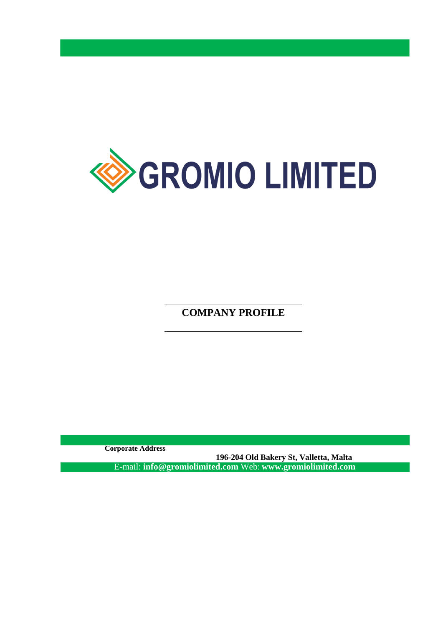

**COMPANY PROFILE**

**Corporate Address**

**196-204 Old Bakery St, Valletta, Malta** E-mail: **info@gromiolimited.com** Web: **[www.gromiolimited.com](http://www.gromiolimited.com/)**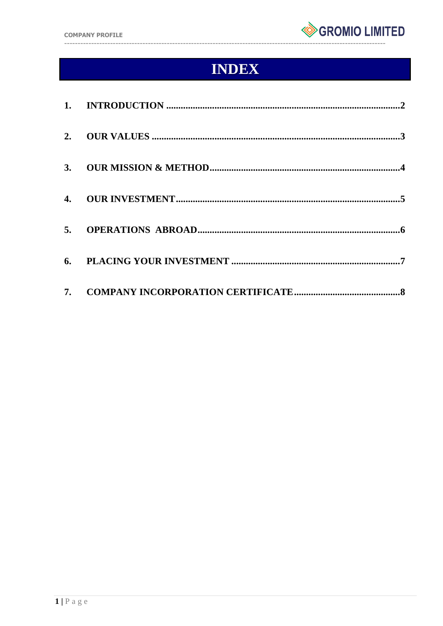

# **INDEX**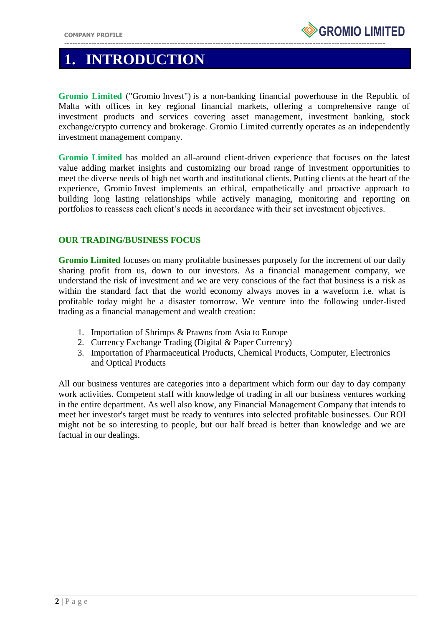

## **1. INTRODUCTION**

**Gromio Limited** ("Gromio Invest") is a non-banking financial powerhouse in the Republic of Malta with offices in key regional financial markets, offering a comprehensive range of investment products and services covering asset management, investment banking, stock exchange/crypto currency and brokerage. Gromio Limited currently operates as an independently investment management company.

**Gromio Limited** has molded an all-around client-driven experience that focuses on the latest value adding market insights and customizing our broad range of investment opportunities to meet the diverse needs of high net worth and institutional clients. Putting clients at the heart of the experience, Gromio Invest implements an ethical, empathetically and proactive approach to building long lasting relationships while actively managing, monitoring and reporting on portfolios to reassess each client's needs in accordance with their set investment objectives.

### **OUR TRADING/BUSINESS FOCUS**

**Gromio Limited** focuses on many profitable businesses purposely for the increment of our daily sharing profit from us, down to our investors. As a financial management company, we understand the risk of investment and we are very conscious of the fact that business is a risk as within the standard fact that the world economy always moves in a waveform i.e. what is profitable today might be a disaster tomorrow. We venture into the following under-listed trading as a financial management and wealth creation:

- 1. Importation of Shrimps & Prawns from Asia to Europe
- 2. Currency Exchange Trading (Digital & Paper Currency)
- 3. Importation of Pharmaceutical Products, Chemical Products, Computer, Electronics and Optical Products

All our business ventures are categories into a department which form our day to day company work activities. Competent staff with knowledge of trading in all our business ventures working in the entire department. As well also know, any Financial Management Company that intends to meet her investor's target must be ready to ventures into selected profitable businesses. Our ROI might not be so interesting to people, but our half bread is better than knowledge and we are factual in our dealings.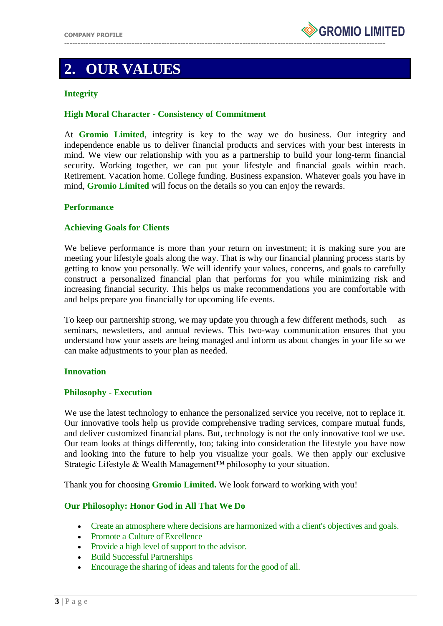

## **2. OUR VALUES**

### **Integrity**

### **High Moral Character - Consistency of Commitment**

At **Gromio Limited**, integrity is key to the way we do business. Our integrity and independence enable us to deliver financial products and services with your best interests in mind. We view our relationship with you as a partnership to build your long-term financial security. Working together, we can put your lifestyle and financial goals within reach. Retirement. Vacation home. College funding. Business expansion. Whatever goals you have in mind, **Gromio Limited** will focus on the details so you can enjoy the rewards.

### **Performance**

### **Achieving Goals for Clients**

We believe performance is more than your return on investment; it is making sure you are meeting your lifestyle goals along the way. That is why our financial planning process starts by getting to know you personally. We will identify your values, concerns, and goals to carefully construct a personalized financial plan that performs for you while minimizing risk and increasing financial security. This helps us make recommendations you are comfortable with and helps prepare you financially for upcoming life events.

To keep our partnership strong, we may update you through a few different methods, such as seminars, newsletters, and annual reviews. This two-way communication ensures that you understand how your assets are being managed and inform us about changes in your life so we can make adjustments to your plan as needed.

### **Innovation**

#### **Philosophy - Execution**

We use the latest technology to enhance the personalized service you receive, not to replace it. Our innovative tools help us provide comprehensive trading services, compare mutual funds, and deliver customized financial plans. But, technology is not the only innovative tool we use. Our team looks at things differently, too; taking into consideration the lifestyle you have now and looking into the future to help you visualize your goals. We then apply our exclusive Strategic Lifestyle & Wealth Management™ philosophy to your situation.

Thank you for choosing **Gromio Limited.** We look forward to working with you!

### **Our Philosophy: Honor God in All That We Do**

- Create an atmosphere where decisions are harmonized with a client's objectives and goals.
- Promote a Culture of Excellence
- Provide a high level of support to the advisor.
- Build Successful Partnerships
- Encourage the sharing of ideas and talents for the good of all.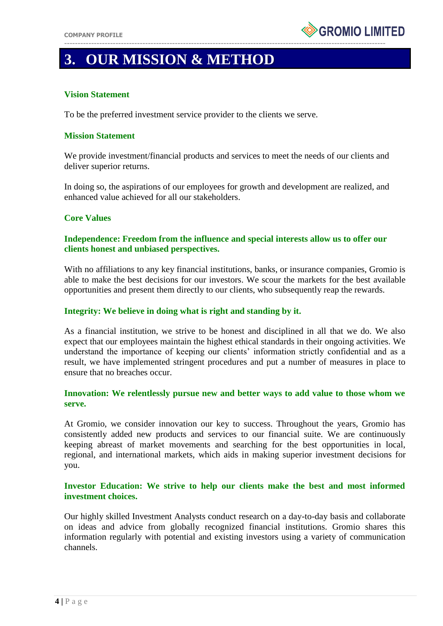

# **3. OUR MISSION & METHOD**

### **Vision Statement**

To be the preferred investment service provider to the clients we serve.

#### **Mission Statement**

We provide investment/financial products and services to meet the needs of our clients and deliver superior returns.

In doing so, the aspirations of our employees for growth and development are realized, and enhanced value achieved for all our stakeholders.

#### **Core Values**

### **Independence: Freedom from the influence and special interests allow us to offer our clients honest and unbiased perspectives.**

With no affiliations to any key financial institutions, banks, or insurance companies, Gromio is able to make the best decisions for our investors. We scour the markets for the best available opportunities and present them directly to our clients, who subsequently reap the rewards.

#### **Integrity: We believe in doing what is right and standing by it.**

As a financial institution, we strive to be honest and disciplined in all that we do. We also expect that our employees maintain the highest ethical standards in their ongoing activities. We understand the importance of keeping our clients' information strictly confidential and as a result, we have implemented stringent procedures and put a number of measures in place to ensure that no breaches occur.

### **Innovation: We relentlessly pursue new and better ways to add value to those whom we serve.**

At Gromio, we consider innovation our key to success. Throughout the years, Gromio has consistently added new products and services to our financial suite. We are continuously keeping abreast of market movements and searching for the best opportunities in local, regional, and international markets, which aids in making superior investment decisions for you.

### **Investor Education: We strive to help our clients make the best and most informed investment choices.**

Our highly skilled Investment Analysts conduct research on a day-to-day basis and collaborate on ideas and advice from globally recognized financial institutions. Gromio shares this information regularly with potential and existing investors using a variety of communication channels.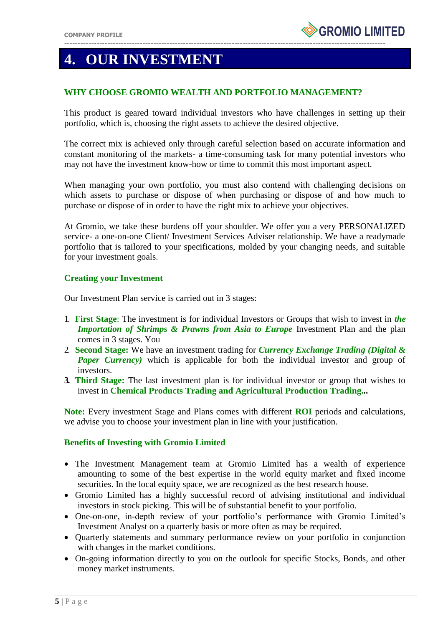# **4. OUR INVESTMENT**

### **WHY CHOOSE GROMIO WEALTH AND PORTFOLIO MANAGEMENT?**

This product is geared toward individual investors who have challenges in setting up their portfolio, which is, choosing the right assets to achieve the desired objective.

The correct mix is achieved only through careful selection based on accurate information and constant monitoring of the markets- a time-consuming task for many potential investors who may not have the investment know-how or time to commit this most important aspect.

When managing your own portfolio, you must also contend with challenging decisions on which assets to purchase or dispose of when purchasing or dispose of and how much to purchase or dispose of in order to have the right mix to achieve your objectives.

At Gromio, we take these burdens off your shoulder. We offer you a very PERSONALIZED service- a one-on-one Client/ Investment Services Adviser relationship. We have a readymade portfolio that is tailored to your specifications, molded by your changing needs, and suitable for your investment goals.

### **Creating your Investment**

Our Investment Plan service is carried out in 3 stages:

- 1. **First Stage**: The investment is for individual Investors or Groups that wish to invest in *the Importation of Shrimps & Prawns from Asia to Europe Investment Plan and the plan* comes in 3 stages. You
- 2. **Second Stage:** We have an investment trading for *Currency Exchange Trading (Digital & Paper Currency*) which is applicable for both the individual investor and group of investors.
- **3. Third Stage:** The last investment plan is for individual investor or group that wishes to invest in **Chemical Products Trading and Agricultural Production Trading...**

**Note:** Every investment Stage and Plans comes with different **ROI** periods and calculations, we advise you to choose your investment plan in line with your justification.

### **Benefits of Investing with Gromio Limited**

- The Investment Management team at Gromio Limited has a wealth of experience amounting to some of the best expertise in the world equity market and fixed income securities. In the local equity space, we are recognized as the best research house.
- Gromio Limited has a highly successful record of advising institutional and individual investors in stock picking. This will be of substantial benefit to your portfolio.
- One-on-one, in-depth review of your portfolio's performance with Gromio Limited's Investment Analyst on a quarterly basis or more often as may be required.
- Quarterly statements and summary performance review on your portfolio in conjunction with changes in the market conditions.
- On-going information directly to you on the outlook for specific Stocks, Bonds, and other money market instruments.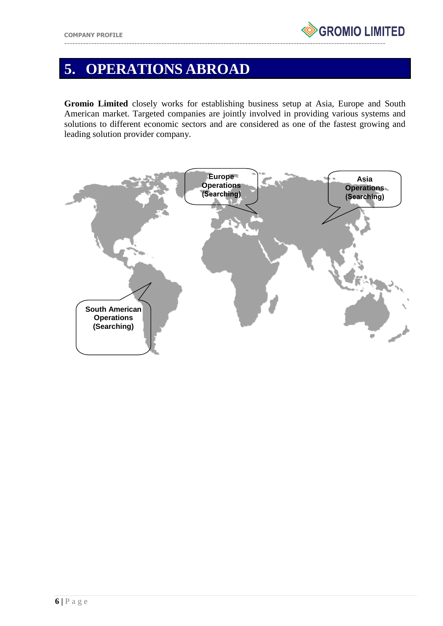

# **5. OPERATIONS ABROAD**

**Gromio Limited** closely works for establishing business setup at Asia, Europe and South American market. Targeted companies are jointly involved in providing various systems and solutions to different economic sectors and are considered as one of the fastest growing and leading solution provider company.

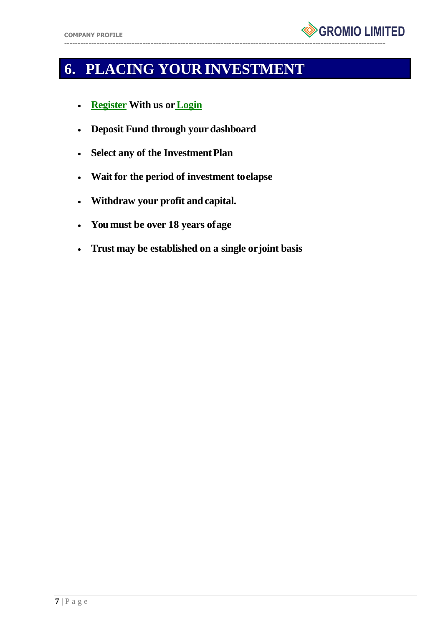

# **6. PLACING YOUR INVESTMENT**

- **[Register](https://gromiolimited.com/register) With us o[rLogin](https://gromiolimited.com/login)**
- **Deposit Fund through your dashboard**
- **Select any of the Investment Plan**
- **Wait for the period of investment toelapse**
- **Withdraw your profit andcapital.**
- **You must be over 18 years ofage**
- **Trust may be established on a single orjoint basis**